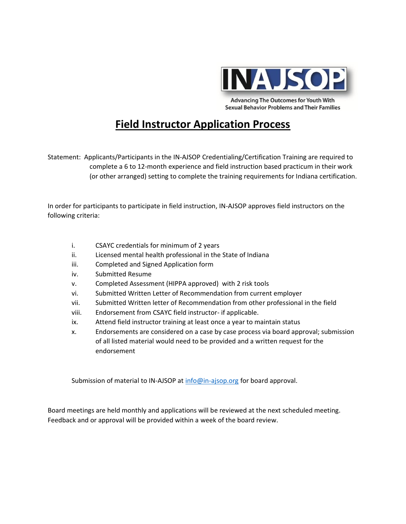

**Advancing The Outcomes for Youth With Sexual Behavior Problems and Their Families** 

## **Field Instructor Application Process**

Statement: Applicants/Participants in the IN-AJSOP Credentialing/Certification Training are required to complete a 6 to 12-month experience and field instruction based practicum in their work (or other arranged) setting to complete the training requirements for Indiana certification.

In order for participants to participate in field instruction, IN-AJSOP approves field instructors on the following criteria:

- i. CSAYC credentials for minimum of 2 years
- ii. Licensed mental health professional in the State of Indiana
- iii. Completed and Signed Application form
- iv. Submitted Resume
- v. Completed Assessment (HIPPA approved) with 2 risk tools
- vi. Submitted Written Letter of Recommendation from current employer
- vii. Submitted Written letter of Recommendation from other professional in the field
- viii. Endorsement from CSAYC field instructor- if applicable.
- ix. Attend field instructor training at least once a year to maintain status
- x. Endorsements are considered on a case by case process via board approval; submission of all listed material would need to be provided and a written request for the endorsement

Submission of material to IN-AJSOP a[t info@in-ajsop.org](mailto:info@in-ajsop.org) for board approval.

Board meetings are held monthly and applications will be reviewed at the next scheduled meeting. Feedback and or approval will be provided within a week of the board review.